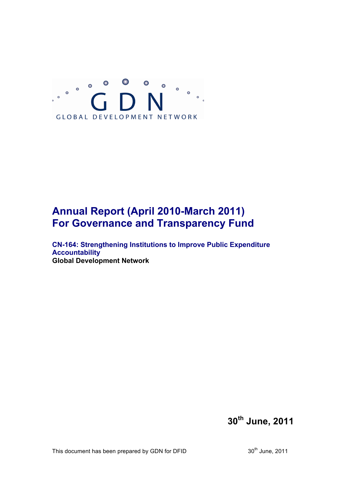

# **Annual Report (April 2010-March 2011) For Governance and Transparency Fund**

**CN-164: Strengthening Institutions to Improve Public Expenditure Accountability Global Development Network**

**30th June, 2011**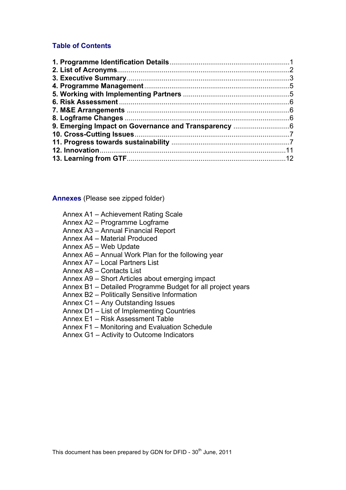### **Table of Contents**

**Annexes** (Please see zipped folder)

- Annex A1 Achievement Rating Scale
- Annex A2 Programme Logframe
- Annex A3 Annual Financial Report
- Annex A4 Material Produced
- Annex A5 Web Update
- Annex A6 Annual Work Plan for the following year
- Annex A7 Local Partners List
- Annex A8 Contacts List
- Annex A9 Short Articles about emerging impact
- Annex B1 Detailed Programme Budget for all project years
- Annex B2 Politically Sensitive Information
- Annex C1 Any Outstanding Issues
- Annex D1 List of Implementing Countries
- Annex E1 Risk Assessment Table
- Annex F1 Monitoring and Evaluation Schedule
- Annex G1 Activity to Outcome Indicators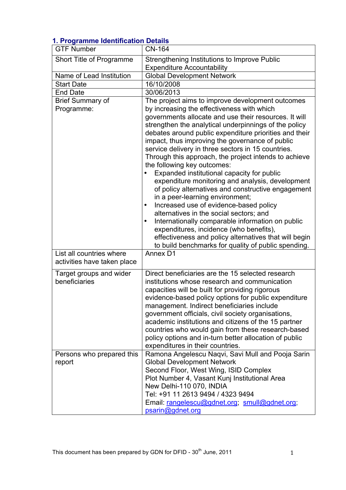| n. Frogramme identification Details<br><b>GTF Number</b> | <b>CN-164</b>                                                                                                                                                                                                                                                                                                                                                                                                                                                                                                                                                                                                                                                                                                                                                                                                                                                                                                                    |
|----------------------------------------------------------|----------------------------------------------------------------------------------------------------------------------------------------------------------------------------------------------------------------------------------------------------------------------------------------------------------------------------------------------------------------------------------------------------------------------------------------------------------------------------------------------------------------------------------------------------------------------------------------------------------------------------------------------------------------------------------------------------------------------------------------------------------------------------------------------------------------------------------------------------------------------------------------------------------------------------------|
| Short Title of Programme                                 | Strengthening Institutions to Improve Public                                                                                                                                                                                                                                                                                                                                                                                                                                                                                                                                                                                                                                                                                                                                                                                                                                                                                     |
|                                                          | <b>Expenditure Accountability</b>                                                                                                                                                                                                                                                                                                                                                                                                                                                                                                                                                                                                                                                                                                                                                                                                                                                                                                |
| Name of Lead Institution                                 | <b>Global Development Network</b>                                                                                                                                                                                                                                                                                                                                                                                                                                                                                                                                                                                                                                                                                                                                                                                                                                                                                                |
| <b>Start Date</b>                                        | 16/10/2008                                                                                                                                                                                                                                                                                                                                                                                                                                                                                                                                                                                                                                                                                                                                                                                                                                                                                                                       |
| <b>End Date</b>                                          | 30/06/2013                                                                                                                                                                                                                                                                                                                                                                                                                                                                                                                                                                                                                                                                                                                                                                                                                                                                                                                       |
| <b>Brief Summary of</b><br>Programme:                    | The project aims to improve development outcomes<br>by increasing the effectiveness with which<br>governments allocate and use their resources. It will<br>strengthen the analytical underpinnings of the policy<br>debates around public expenditure priorities and their<br>impact, thus improving the governance of public<br>service delivery in three sectors in 15 countries.<br>Through this approach, the project intends to achieve<br>the following key outcomes:<br>Expanded institutional capacity for public<br>expenditure monitoring and analysis, development<br>of policy alternatives and constructive engagement<br>in a peer-learning environment;<br>Increased use of evidence-based policy<br>alternatives in the social sectors; and<br>Internationally comparable information on public<br>$\bullet$<br>expenditures, incidence (who benefits),<br>effectiveness and policy alternatives that will begin |
|                                                          | to build benchmarks for quality of public spending.                                                                                                                                                                                                                                                                                                                                                                                                                                                                                                                                                                                                                                                                                                                                                                                                                                                                              |
| List all countries where<br>activities have taken place  | Annex D1                                                                                                                                                                                                                                                                                                                                                                                                                                                                                                                                                                                                                                                                                                                                                                                                                                                                                                                         |
| Target groups and wider<br>beneficiaries                 | Direct beneficiaries are the 15 selected research<br>institutions whose research and communication<br>capacities will be built for providing rigorous<br>evidence-based policy options for public expenditure<br>management. Indirect beneficiaries include<br>government officials, civil society organisations,<br>academic institutions and citizens of the 15 partner<br>countries who would gain from these research-based<br>policy options and in-turn better allocation of public<br>expenditures in their countries.                                                                                                                                                                                                                                                                                                                                                                                                    |
| Persons who prepared this<br>report                      | Ramona Angelescu Naqvi, Savi Mull and Pooja Sarin<br><b>Global Development Network</b><br>Second Floor, West Wing, ISID Complex<br>Plot Number 4, Vasant Kunj Institutional Area<br>New Delhi-110 070, INDIA<br>Tel: +91 11 2613 9494 / 4323 9494<br>Email: rangelescu@gdnet.org; smull@gdnet.org;<br>psarin@gdnet.org                                                                                                                                                                                                                                                                                                                                                                                                                                                                                                                                                                                                           |

# **1. Programme Identification Details**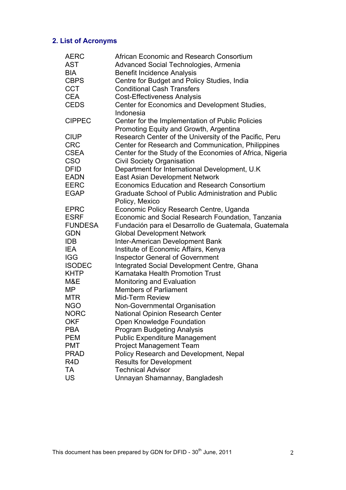# **2. List of Acronyms**

| <b>AERC</b>      | African Economic and Research Consortium                   |
|------------------|------------------------------------------------------------|
| <b>AST</b>       | Advanced Social Technologies, Armenia                      |
| <b>BIA</b>       | <b>Benefit Incidence Analysis</b>                          |
| <b>CBPS</b>      | Centre for Budget and Policy Studies, India                |
| <b>CCT</b>       | <b>Conditional Cash Transfers</b>                          |
| <b>CEA</b>       | <b>Cost-Effectiveness Analysis</b>                         |
| <b>CEDS</b>      | Center for Economics and Development Studies,              |
|                  | Indonesia                                                  |
| <b>CIPPEC</b>    | Center for the Implementation of Public Policies           |
|                  | Promoting Equity and Growth, Argentina                     |
| <b>CIUP</b>      | Research Center of the University of the Pacific, Peru     |
| <b>CRC</b>       | Center for Research and Communication, Philippines         |
| <b>CSEA</b>      | Center for the Study of the Economies of Africa, Nigeria   |
| <b>CSO</b>       | <b>Civil Society Organisation</b>                          |
| <b>DFID</b>      | Department for International Development, U.K              |
| <b>EADN</b>      | <b>East Asian Development Network</b>                      |
| <b>EERC</b>      | <b>Economics Education and Research Consortium</b>         |
| <b>EGAP</b>      | <b>Graduate School of Public Administration and Public</b> |
|                  | Policy, Mexico                                             |
| <b>EPRC</b>      | Economic Policy Research Centre, Uganda                    |
| <b>ESRF</b>      | Economic and Social Research Foundation, Tanzania          |
| <b>FUNDESA</b>   | Fundación para el Desarrollo de Guatemala, Guatemala       |
| <b>GDN</b>       | <b>Global Development Network</b>                          |
| <b>IDB</b>       | Inter-American Development Bank                            |
| <b>IEA</b>       | Institute of Economic Affairs, Kenya                       |
| <b>IGG</b>       | <b>Inspector General of Government</b>                     |
| <b>ISODEC</b>    | Integrated Social Development Centre, Ghana                |
| <b>KHTP</b>      | Karnataka Health Promotion Trust                           |
| M&E              | <b>Monitoring and Evaluation</b>                           |
| MP               | <b>Members of Parliament</b>                               |
| <b>MTR</b>       | <b>Mid-Term Review</b>                                     |
| <b>NGO</b>       | Non-Governmental Organisation                              |
| <b>NORC</b>      | <b>National Opinion Research Center</b>                    |
| <b>OKF</b>       | Open Knowledge Foundation                                  |
| <b>PBA</b>       | <b>Program Budgeting Analysis</b>                          |
| <b>PEM</b>       | <b>Public Expenditure Management</b>                       |
| <b>PMT</b>       | <b>Project Management Team</b>                             |
| <b>PRAD</b>      | Policy Research and Development, Nepal                     |
| R <sub>4</sub> D | <b>Results for Development</b>                             |
| TA               | <b>Technical Advisor</b>                                   |
| <b>US</b>        | Unnayan Shamannay, Bangladesh                              |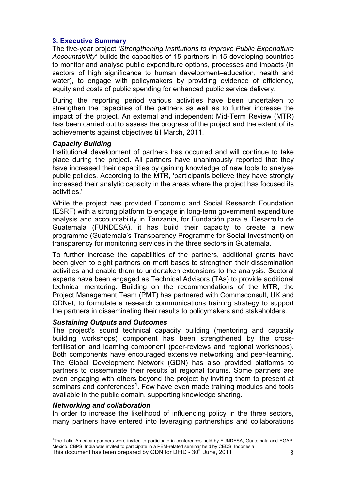#### **3. Executive Summary**

The five-year project *'Strengthening Institutions to Improve Public Expenditure Accountability'* builds the capacities of 15 partners in 15 developing countries to monitor and analyse public expenditure options, processes and impacts (in sectors of high significance to human development–education, health and water), to engage with policymakers by providing evidence of efficiency, equity and costs of public spending for enhanced public service delivery.

During the reporting period various activities have been undertaken to strengthen the capacities of the partners as well as to further increase the impact of the project. An external and independent Mid-Term Review (MTR) has been carried out to assess the progress of the project and the extent of its achievements against objectives till March, 2011.

#### *Capacity Building*

Institutional development of partners has occurred and will continue to take place during the project. All partners have unanimously reported that they have increased their capacities by gaining knowledge of new tools to analyse public policies. According to the MTR, 'participants believe they have strongly increased their analytic capacity in the areas where the project has focused its activities.'

While the project has provided Economic and Social Research Foundation (ESRF) with a strong platform to engage in long-term government expenditure analysis and accountability in Tanzania, for Fundación para el Desarrollo de Guatemala (FUNDESA), it has build their capacity to create a new programme (Guatemala's Transparency Programme for Social Investment) on transparency for monitoring services in the three sectors in Guatemala.

To further increase the capabilities of the partners, additional grants have been given to eight partners on merit bases to strengthen their dissemination activities and enable them to undertaken extensions to the analysis. Sectoral experts have been engaged as Technical Advisors (TAs) to provide additional technical mentoring. Building on the recommendations of the MTR, the Project Management Team (PMT) has partnered with Commsconsult, UK and GDNet, to formulate a research communications training strategy to support the partners in disseminating their results to policymakers and stakeholders.

#### *Sustaining Outputs and Outcomes*

The project's sound technical capacity building (mentoring and capacity building workshops) component has been strengthened by the crossfertilisation and learning component (peer-reviews and regional workshops). Both components have encouraged extensive networking and peer-learning. The Global Development Network (GDN) has also provided platforms to partners to disseminate their results at regional forums. Some partners are even engaging with others beyond the project by inviting them to present at seminars and conferences<sup>1</sup>. Few have even made training modules and tools available in the public domain, supporting knowledge sharing.

#### *Networking and collaboration*

In order to increase the likelihood of influencing policy in the three sectors, many partners have entered into leveraging partnerships and collaborations

<sup>|&</sup>lt;br>1 <sup>1</sup>The Latin American partners were invited to participate in conferences held by FUNDESA, Guatemala and EGAP, Mexico. CBPS, India was invited to participate in a PEM-related seminar held by CEDS, Indonesia.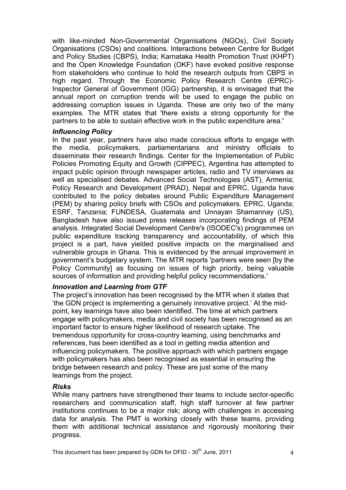with like-minded Non-Governmental Organisations (NGOs), Civil Society Organisations (CSOs) and coalitions. Interactions between Centre for Budget and Policy Studies (CBPS), India; Karnataka Health Promotion Trust (KHPT) and the Open Knowledge Foundation (OKF) have evoked positive response from stakeholders who continue to hold the research outputs from CBPS in high regard. Through the Economic Policy Research Centre (EPRC)- Inspector General of Government (IGG) partnership, it is envisaged that the annual report on corruption trends will be used to engage the public on addressing corruption issues in Uganda. These are only two of the many examples. The MTR states that 'there exists a strong opportunity for the partners to be able to sustain effective work in the public expenditure area.'

#### *Influencing Policy*

In the past year, partners have also made conscious efforts to engage with the media, policymakers, parliamentarians and ministry officials to disseminate their research findings. Center for the Implementation of Public Policies Promoting Equity and Growth (CIPPEC), Argentina has attempted to impact public opinion through newspaper articles, radio and TV interviews as well as specialised debates. Advanced Social Technologies (AST), Armenia; Policy Research and Development (PRAD), Nepal and EPRC, Uganda have contributed to the policy debates around Public Expenditure Management (PEM) by sharing policy briefs with CSOs and policymakers. EPRC, Uganda; ESRF, Tanzania; FUNDESA, Guatemala and Unnayan Shamannay (US), Bangladesh have also issued press releases incorporating findings of PEM analysis. Integrated Social Development Centre's (ISODEC's) programmes on public expenditure tracking transparency and accountability, of which this project is a part, have yielded positive impacts on the marginalised and vulnerable groups in Ghana. This is evidenced by the annual improvement in government's budgetary system. The MTR reports 'partners were seen [by the Policy Community] as focusing on issues of high priority, being valuable sources of information and providing helpful policy recommendations.'

#### *Innovation and Learning from GTF*

The project's innovation has been recognised by the MTR when it states that 'the GDN project is implementing a genuinely innovative project.' At the midpoint, key learnings have also been identified. The time at which partners engage with policymakers, media and civil society has been recognised as an important factor to ensure higher likelihood of research uptake. The tremendous opportunity for cross-country learning, using benchmarks and references, has been identified as a tool in getting media attention and influencing policymakers. The positive approach with which partners engage with policymakers has also been recognised as essential in ensuring the bridge between research and policy. These are just some of the many learnings from the project.

#### *Risks*

While many partners have strengthened their teams to include sector-specific researchers and communication staff, high staff turnover at few partner institutions continues to be a major risk; along with challenges in accessing data for analysis. The PMT is working closely with these teams, providing them with additional technical assistance and rigorously monitoring their progress.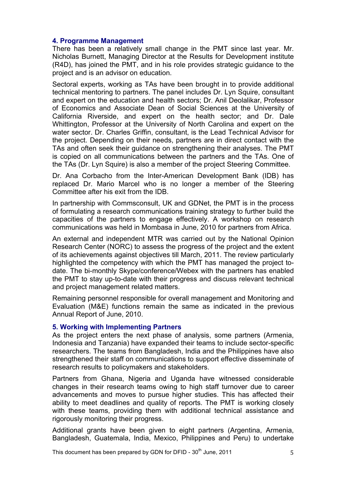#### **4. Programme Management**

There has been a relatively small change in the PMT since last year. Mr. Nicholas Burnett, Managing Director at the Results for Development institute (R4D), has joined the PMT, and in his role provides strategic guidance to the project and is an advisor on education.

Sectoral experts, working as TAs have been brought in to provide additional technical mentoring to partners. The panel includes Dr. Lyn Squire, consultant and expert on the education and health sectors; Dr. Anil Deolalikar, Professor of Economics and Associate Dean of Social Sciences at the University of California Riverside, and expert on the health sector; and Dr. Dale Whittington, Professor at the University of North Carolina and expert on the water sector. Dr. Charles Griffin, consultant, is the Lead Technical Advisor for the project. Depending on their needs, partners are in direct contact with the TAs and often seek their guidance on strengthening their analyses. The PMT is copied on all communications between the partners and the TAs. One of the TAs (Dr. Lyn Squire) is also a member of the project Steering Committee.

Dr. Ana Corbacho from the Inter-American Development Bank (IDB) has replaced Dr. Mario Marcel who is no longer a member of the Steering Committee after his exit from the IDB.

In partnership with Commsconsult, UK and GDNet, the PMT is in the process of formulating a research communications training strategy to further build the capacities of the partners to engage effectively. A workshop on research communications was held in Mombasa in June, 2010 for partners from Africa.

An external and independent MTR was carried out by the National Opinion Research Center (NORC) to assess the progress of the project and the extent of its achievements against objectives till March, 2011. The review particularly highlighted the competency with which the PMT has managed the project todate. The bi-monthly Skype/conference/Webex with the partners has enabled the PMT to stay up-to-date with their progress and discuss relevant technical and project management related matters.

Remaining personnel responsible for overall management and Monitoring and Evaluation (M&E) functions remain the same as indicated in the previous Annual Report of June, 2010.

#### **5. Working with Implementing Partners**

As the project enters the next phase of analysis, some partners (Armenia, Indonesia and Tanzania) have expanded their teams to include sector-specific researchers. The teams from Bangladesh, India and the Philippines have also strengthened their staff on communications to support effective disseminate of research results to policymakers and stakeholders.

Partners from Ghana, Nigeria and Uganda have witnessed considerable changes in their research teams owing to high staff turnover due to career advancements and moves to pursue higher studies. This has affected their ability to meet deadlines and quality of reports. The PMT is working closely with these teams, providing them with additional technical assistance and rigorously monitoring their progress.

Additional grants have been given to eight partners (Argentina, Armenia, Bangladesh, Guatemala, India, Mexico, Philippines and Peru) to undertake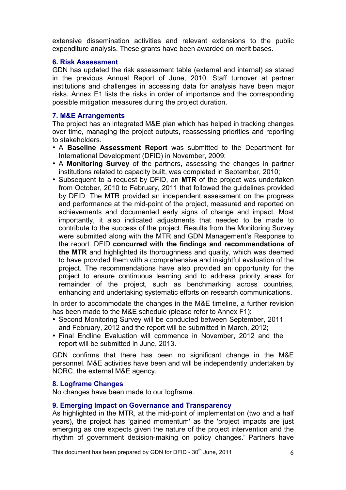extensive dissemination activities and relevant extensions to the public expenditure analysis. These grants have been awarded on merit bases.

#### **6. Risk Assessment**

GDN has updated the risk assessment table (external and internal) as stated in the previous Annual Report of June, 2010. Staff turnover at partner institutions and challenges in accessing data for analysis have been major risks. Annex E1 lists the risks in order of importance and the corresponding possible mitigation measures during the project duration.

#### **7. M&E Arrangements**

The project has an integrated M&E plan which has helped in tracking changes over time, managing the project outputs, reassessing priorities and reporting to stakeholders.

- A **Baseline Assessment Report** was submitted to the Department for International Development (DFID) in November, 2009;
- A **Monitoring Survey** of the partners, assessing the changes in partner institutions related to capacity built, was completed in September, 2010;
- Subsequent to a request by DFID, an **MTR** of the project was undertaken from October, 2010 to February, 2011 that followed the guidelines provided by DFID. The MTR provided an independent assessment on the progress and performance at the mid-point of the project, measured and reported on achievements and documented early signs of change and impact. Most importantly, it also indicated adjustments that needed to be made to contribute to the success of the project. Results from the Monitoring Survey were submitted along with the MTR and GDN Management's Response to the report. DFID **concurred with the findings and recommendations of the MTR** and highlighted its thoroughness and quality, which was deemed to have provided them with a comprehensive and insightful evaluation of the project. The recommendations have also provided an opportunity for the project to ensure continuous learning and to address priority areas for remainder of the project, such as benchmarking across countries, enhancing and undertaking systematic efforts on research communications.

In order to accommodate the changes in the M&E timeline, a further revision has been made to the M&E schedule (please refer to Annex F1):

- Second Monitoring Survey will be conducted between September, 2011 and February, 2012 and the report will be submitted in March, 2012;
- Final Endline Evaluation will commence in November, 2012 and the report will be submitted in June, 2013.

GDN confirms that there has been no significant change in the M&E personnel. M&E activities have been and will be independently undertaken by NORC, the external M&E agency.

#### **8. Logframe Changes**

No changes have been made to our logframe.

#### **9. Emerging Impact on Governance and Transparency**

As highlighted in the MTR, at the mid-point of implementation (two and a half years), the project has 'gained momentum' as the 'project impacts are just emerging as one expects given the nature of the project intervention and the rhythm of government decision-making on policy changes.' Partners have

This document has been prepared by GDN for DFID -  $30<sup>th</sup>$  June, 2011 6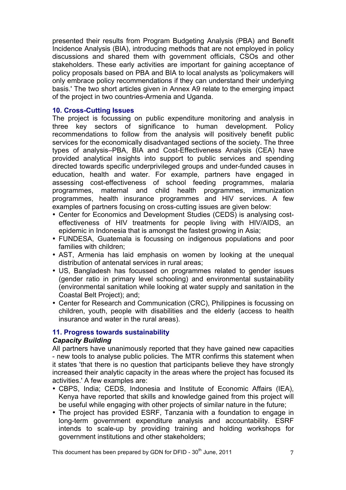presented their results from Program Budgeting Analysis (PBA) and Benefit Incidence Analysis (BIA), introducing methods that are not employed in policy discussions and shared them with government officials, CSOs and other stakeholders. These early activities are important for gaining acceptance of policy proposals based on PBA and BIA to local analysts as 'policymakers will only embrace policy recommendations if they can understand their underlying basis.' The two short articles given in Annex A9 relate to the emerging impact of the project in two countries-Armenia and Uganda.

#### **10. Cross-Cutting Issues**

The project is focussing on public expenditure monitoring and analysis in three key sectors of significance to human development. Policy recommendations to follow from the analysis will positively benefit public services for the economically disadvantaged sections of the society. The three types of analysis–PBA, BIA and Cost-Effectiveness Analysis (CEA) have provided analytical insights into support to public services and spending directed towards specific underprivileged groups and under-funded causes in education, health and water. For example, partners have engaged in assessing cost-effectiveness of school feeding programmes, malaria programmes, maternal and child health programmes, immunization programmes, health insurance programmes and HIV services. A few examples of partners focusing on cross-cutting issues are given below:

- Center for Economics and Development Studies (CEDS) is analysing costeffectiveness of HIV treatments for people living with HIV/AIDS, an epidemic in Indonesia that is amongst the fastest growing in Asia;
- FUNDESA, Guatemala is focussing on indigenous populations and poor families with children;
- AST, Armenia has laid emphasis on women by looking at the unequal distribution of antenatal services in rural areas;
- US, Bangladesh has focussed on programmes related to gender issues (gender ratio in primary level schooling) and environmental sustainability (environmental sanitation while looking at water supply and sanitation in the Coastal Belt Project); and;
- Center for Research and Communication (CRC), Philippines is focussing on children, youth, people with disabilities and the elderly (access to health insurance and water in the rural areas).

## **11. Progress towards sustainability**

#### *Capacity Building*

All partners have unanimously reported that they have gained new capacities - new tools to analyse public policies. The MTR confirms this statement when it states 'that there is no question that participants believe they have strongly increased their analytic capacity in the areas where the project has focused its activities.' A few examples are:

- CBPS, India; CEDS, Indonesia and Institute of Economic Affairs (IEA), Kenya have reported that skills and knowledge gained from this project will be useful while engaging with other projects of similar nature in the future;
- The project has provided ESRF, Tanzania with a foundation to engage in long-term government expenditure analysis and accountability. ESRF intends to scale-up by providing training and holding workshops for government institutions and other stakeholders;

This document has been prepared by GDN for DFID -  $30<sup>th</sup>$  June, 2011  $\qquad \qquad \qquad$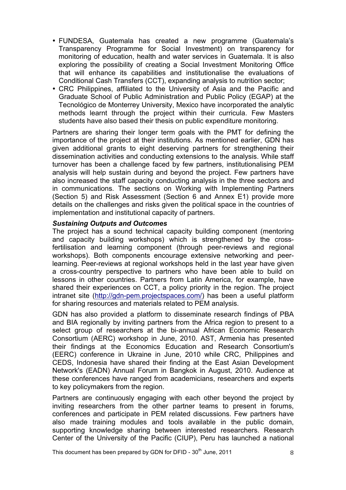- FUNDESA, Guatemala has created a new programme (Guatemala's Transparency Programme for Social Investment) on transparency for monitoring of education, health and water services in Guatemala. It is also exploring the possibility of creating a Social Investment Monitoring Office that will enhance its capabilities and institutionalise the evaluations of Conditional Cash Transfers (CCT), expanding analysis to nutrition sector;
- CRC Philippines, affiliated to the University of Asia and the Pacific and Graduate School of Public Administration and Public Policy (EGAP) at the Tecnológico de Monterrey University, Mexico have incorporated the analytic methods learnt through the project within their curricula. Few Masters students have also based their thesis on public expenditure monitoring.

Partners are sharing their longer term goals with the PMT for defining the importance of the project at their institutions. As mentioned earlier, GDN has given additional grants to eight deserving partners for strengthening their dissemination activities and conducting extensions to the analysis. While staff turnover has been a challenge faced by few partners, institutionalising PEM analysis will help sustain during and beyond the project. Few partners have also increased the staff capacity conducting analysis in the three sectors and in communications. The sections on Working with Implementing Partners (Section 5) and Risk Assessment (Section 6 and Annex E1) provide more details on the challenges and risks given the political space in the countries of implementation and institutional capacity of partners.

#### *Sustaining Outputs and Outcomes*

The project has a sound technical capacity building component (mentoring and capacity building workshops) which is strengthened by the crossfertilisation and learning component (through peer-reviews and regional workshops). Both components encourage extensive networking and peerlearning. Peer-reviews at regional workshops held in the last year have given a cross-country perspective to partners who have been able to build on lessons in other countries. Partners from Latin America, for example, have shared their experiences on CCT, a policy priority in the region. The project intranet site (http://gdn-pem.projectspaces.com/) has been a useful platform for sharing resources and materials related to PEM analysis.

GDN has also provided a platform to disseminate research findings of PBA and BIA regionally by inviting partners from the Africa region to present to a select group of researchers at the bi-annual African Economic Research Consortium (AERC) workshop in June, 2010. AST, Armenia has presented their findings at the Economics Education and Research Consortium's (EERC) conference in Ukraine in June, 2010 while CRC, Philippines and CEDS, Indonesia have shared their finding at the East Asian Development Network's (EADN) Annual Forum in Bangkok in August, 2010. Audience at these conferences have ranged from academicians, researchers and experts to key policymakers from the region.

Partners are continuously engaging with each other beyond the project by inviting researchers from the other partner teams to present in forums, conferences and participate in PEM related discussions. Few partners have also made training modules and tools available in the public domain, supporting knowledge sharing between interested researchers. Research Center of the University of the Pacific (CIUP), Peru has launched a national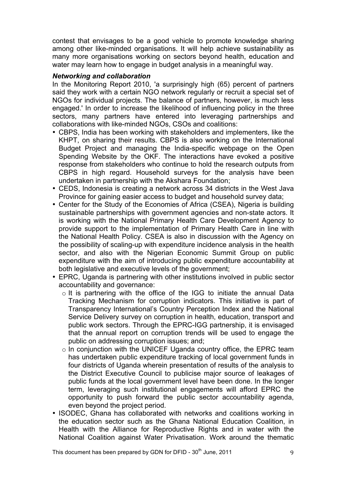contest that envisages to be a good vehicle to promote knowledge sharing among other like-minded organisations. It will help achieve sustainability as many more organisations working on sectors beyond health, education and water may learn how to engage in budget analysis in a meaningful way.

#### *Networking and collaboration*

In the Monitoring Report 2010, 'a surprisingly high (65) percent of partners said they work with a certain NGO network regularly or recruit a special set of NGOs for individual projects. The balance of partners, however, is much less engaged.' In order to increase the likelihood of influencing policy in the three sectors, many partners have entered into leveraging partnerships and collaborations with like-minded NGOs, CSOs and coalitions:

- CBPS, India has been working with stakeholders and implementers, like the KHPT, on sharing their results. CBPS is also working on the International Budget Project and managing the India-specific webpage on the Open Spending Website by the OKF. The interactions have evoked a positive response from stakeholders who continue to hold the research outputs from CBPS in high regard. Household surveys for the analysis have been undertaken in partnership with the Akshara Foundation;
- CEDS, Indonesia is creating a network across 34 districts in the West Java Province for gaining easier access to budget and household survey data;
- Center for the Study of the Economies of Africa (CSEA), Nigeria is building sustainable partnerships with government agencies and non-state actors. It is working with the National Primary Health Care Development Agency to provide support to the implementation of Primary Health Care in line with the National Health Policy. CSEA is also in discussion with the Agency on the possibility of scaling-up with expenditure incidence analysis in the health sector, and also with the Nigerian Economic Summit Group on public expenditure with the aim of introducing public expenditure accountability at both legislative and executive levels of the government;
- EPRC, Uganda is partnering with other institutions involved in public sector accountability and governance:
	- o It is partnering with the office of the IGG to initiate the annual Data Tracking Mechanism for corruption indicators. This initiative is part of Transparency International's Country Perception Index and the National Service Delivery survey on corruption in health, education, transport and public work sectors. Through the EPRC-IGG partnership, it is envisaged that the annual report on corruption trends will be used to engage the public on addressing corruption issues; and;
	- $\circ$  In conjunction with the UNICEF Uganda country office, the EPRC team has undertaken public expenditure tracking of local government funds in four districts of Uganda wherein presentation of results of the analysis to the District Executive Council to publicise major source of leakages of public funds at the local government level have been done. In the longer term, leveraging such institutional engagements will afford EPRC the opportunity to push forward the public sector accountability agenda, even beyond the project period.
- ISODEC, Ghana has collaborated with networks and coalitions working in the education sector such as the Ghana National Education Coalition, in Health with the Alliance for Reproductive Rights and in water with the National Coalition against Water Privatisation. Work around the thematic

This document has been prepared by GDN for DFID -  $30<sup>th</sup>$  June, 2011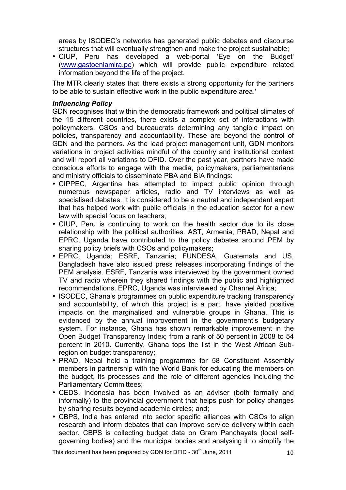areas by ISODEC's networks has generated public debates and discourse structures that will eventually strengthen and make the project sustainable;

• CIUP, Peru has developed a web-portal 'Eye on the Budget' (www.gastoenlamira.pe) which will provide public expenditure related information beyond the life of the project.

The MTR clearly states that 'there exists a strong opportunity for the partners to be able to sustain effective work in the public expenditure area.'

#### *Influencing Policy*

GDN recognises that within the democratic framework and political climates of the 15 different countries, there exists a complex set of interactions with policymakers, CSOs and bureaucrats determining any tangible impact on policies, transparency and accountability. These are beyond the control of GDN and the partners. As the lead project management unit, GDN monitors variations in project activities mindful of the country and institutional context and will report all variations to DFID. Over the past year, partners have made conscious efforts to engage with the media, policymakers, parliamentarians and ministry officials to disseminate PBA and BIA findings:

- CIPPEC, Argentina has attempted to impact public opinion through numerous newspaper articles, radio and TV interviews as well as specialised debates. It is considered to be a neutral and independent expert that has helped work with public officials in the education sector for a new law with special focus on teachers;
- CIUP, Peru is continuing to work on the health sector due to its close relationship with the political authorities. AST, Armenia; PRAD, Nepal and EPRC, Uganda have contributed to the policy debates around PEM by sharing policy briefs with CSOs and policymakers;
- EPRC, Uganda; ESRF, Tanzania; FUNDESA, Guatemala and US, Bangladesh have also issued press releases incorporating findings of the PEM analysis. ESRF, Tanzania was interviewed by the government owned TV and radio wherein they shared findings with the public and highlighted recommendations. EPRC, Uganda was interviewed by Channel Africa;
- ISODEC, Ghana's programmes on public expenditure tracking transparency and accountability, of which this project is a part, have yielded positive impacts on the marginalised and vulnerable groups in Ghana. This is evidenced by the annual improvement in the government's budgetary system. For instance, Ghana has shown remarkable improvement in the Open Budget Transparency Index; from a rank of 50 percent in 2008 to 54 percent in 2010. Currently, Ghana tops the list in the West African Subregion on budget transparency;
- PRAD, Nepal held a training programme for 58 Constituent Assembly members in partnership with the World Bank for educating the members on the budget, its processes and the role of different agencies including the Parliamentary Committees;
- CEDS, Indonesia has been involved as an adviser (both formally and informally) to the provincial government that helps push for policy changes by sharing results beyond academic circles; and;
- CBPS, India has entered into sector specific alliances with CSOs to align research and inform debates that can improve service delivery within each sector. CBPS is collecting budget data on Gram Panchayats (local selfgoverning bodies) and the municipal bodies and analysing it to simplify the

This document has been prepared by GDN for DFID -  $30<sup>th</sup>$  June, 2011  $10<sup>th</sup>$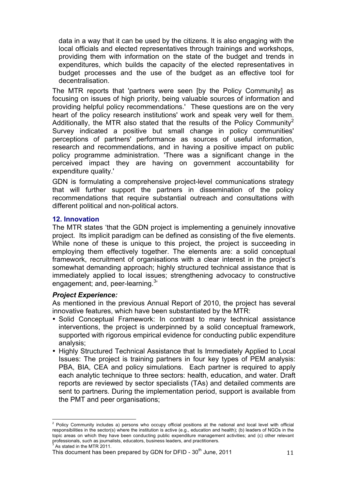data in a way that it can be used by the citizens. It is also engaging with the local officials and elected representatives through trainings and workshops, providing them with information on the state of the budget and trends in expenditures, which builds the capacity of the elected representatives in budget processes and the use of the budget as an effective tool for decentralisation.

The MTR reports that 'partners were seen [by the Policy Community] as focusing on issues of high priority, being valuable sources of information and providing helpful policy recommendations.' These questions are on the very heart of the policy research institutions' work and speak very well for them. Additionally, the MTR also stated that the results of the Policy Community<sup>2</sup> Survey indicated a positive but small change in policy communities' perceptions of partners' performance as sources of useful information, research and recommendations, and in having a positive impact on public policy programme administration. 'There was a significant change in the perceived impact they are having on government accountability for expenditure quality.'

GDN is formulating a comprehensive project-level communications strategy that will further support the partners in dissemination of the policy recommendations that require substantial outreach and consultations with different political and non-political actors.

#### **12. Innovation**

The MTR states 'that the GDN project is implementing a genuinely innovative project. Its implicit paradigm can be defined as consisting of the five elements. While none of these is unique to this project, the project is succeeding in employing them effectively together. The elements are: a solid conceptual framework, recruitment of organisations with a clear interest in the project's somewhat demanding approach; highly structured technical assistance that is immediately applied to local issues; strengthening advocacy to constructive engagement; and, peer-learning.<sup>3</sup>

#### *Project Experience:*

As mentioned in the previous Annual Report of 2010, the project has several innovative features, which have been substantiated by the MTR:

- Solid Conceptual Framework: In contrast to many technical assistance interventions, the project is underpinned by a solid conceptual framework, supported with rigorous empirical evidence for conducting public expenditure analysis;
- Highly Structured Technical Assistance that Is Immediately Applied to Local Issues: The project is training partners in four key types of PEM analysis: PBA, BIA, CEA and policy simulations. Each partner is required to apply each analytic technique to three sectors: health, education, and water. Draft reports are reviewed by sector specialists (TAs) and detailed comments are sent to partners. During the implementation period, support is available from the PMT and peer organisations;

 $2$  Policy Community includes a) persons who occupy official positions at the national and local level with official responsibilities in the sector(s) where the institution is active (e.g., education and health); (b) leaders of NGOs in the topic areas on which they have been conducting public expenditure management activities; and (c) other relevant professionals, such as journalists, educators, business leaders, and practitioners.<br>3 As stated in the MTD 2011

As stated in the MTR 2011.

This document has been prepared by GDN for DFID -  $30<sup>th</sup>$  June, 2011 11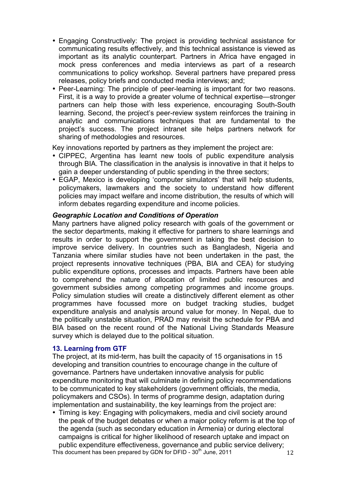- Engaging Constructively: The project is providing technical assistance for communicating results effectively, and this technical assistance is viewed as important as its analytic counterpart. Partners in Africa have engaged in mock press conferences and media interviews as part of a research communications to policy workshop. Several partners have prepared press releases, policy briefs and conducted media interviews; and;
- Peer-Learning: The principle of peer-learning is important for two reasons. First, it is a way to provide a greater volume of technical expertise—stronger partners can help those with less experience, encouraging South-South learning. Second, the project's peer-review system reinforces the training in analytic and communications techniques that are fundamental to the project's success. The project intranet site helps partners network for sharing of methodologies and resources.

Key innovations reported by partners as they implement the project are:

- CIPPEC, Argentina has learnt new tools of public expenditure analysis through BIA. The classification in the analysis is innovative in that it helps to gain a deeper understanding of public spending in the three sectors;
- EGAP, Mexico is developing 'computer simulators' that will help students, policymakers, lawmakers and the society to understand how different policies may impact welfare and income distribution, the results of which will inform debates regarding expenditure and income policies.

#### *Geographic Location and Conditions of Operation*

Many partners have aligned policy research with goals of the government or the sector departments, making it effective for partners to share learnings and results in order to support the government in taking the best decision to improve service delivery. In countries such as Bangladesh, Nigeria and Tanzania where similar studies have not been undertaken in the past, the project represents innovative techniques (PBA, BIA and CEA) for studying public expenditure options, processes and impacts. Partners have been able to comprehend the nature of allocation of limited public resources and government subsidies among competing programmes and income groups. Policy simulation studies will create a distinctively different element as other programmes have focussed more on budget tracking studies, budget expenditure analysis and analysis around value for money. In Nepal, due to the politically unstable situation, PRAD may revisit the schedule for PBA and BIA based on the recent round of the National Living Standards Measure survey which is delayed due to the political situation.

#### **13. Learning from GTF**

The project, at its mid-term, has built the capacity of 15 organisations in 15 developing and transition countries to encourage change in the culture of governance. Partners have undertaken innovative analysis for public expenditure monitoring that will culminate in defining policy recommendations to be communicated to key stakeholders (government officials, the media, policymakers and CSOs). In terms of programme design, adaptation during implementation and sustainability, the key learnings from the project are:

• Timing is key: Engaging with policymakers, media and civil society around the peak of the budget debates or when a major policy reform is at the top of the agenda (such as secondary education in Armenia) or during electoral campaigns is critical for higher likelihood of research uptake and impact on public expenditure effectiveness, governance and public service delivery;

This document has been prepared by GDN for DFID -  $30<sup>th</sup>$  June, 2011 12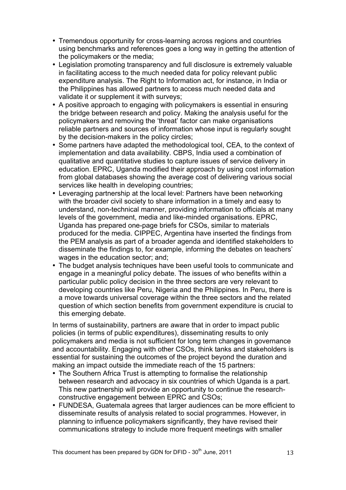- Tremendous opportunity for cross-learning across regions and countries using benchmarks and references goes a long way in getting the attention of the policymakers or the media;
- Legislation promoting transparency and full disclosure is extremely valuable in facilitating access to the much needed data for policy relevant public expenditure analysis. The Right to Information act, for instance, in India or the Philippines has allowed partners to access much needed data and validate it or supplement it with surveys;
- A positive approach to engaging with policymakers is essential in ensuring the bridge between research and policy. Making the analysis useful for the policymakers and removing the 'threat' factor can make organisations reliable partners and sources of information whose input is regularly sought by the decision-makers in the policy circles;
- Some partners have adapted the methodological tool, CEA, to the context of implementation and data availability. CBPS, India used a combination of qualitative and quantitative studies to capture issues of service delivery in education. EPRC, Uganda modified their approach by using cost information from global databases showing the average cost of delivering various social services like health in developing countries;
- Leveraging partnership at the local level: Partners have been networking with the broader civil society to share information in a timely and easy to understand, non-technical manner, providing information to officials at many levels of the government, media and like-minded organisations. EPRC, Uganda has prepared one-page briefs for CSOs, similar to materials produced for the media. CIPPEC, Argentina have inserted the findings from the PEM analysis as part of a broader agenda and identified stakeholders to disseminate the findings to, for example, informing the debates on teachers' wages in the education sector; and;
- The budget analysis techniques have been useful tools to communicate and engage in a meaningful policy debate. The issues of who benefits within a particular public policy decision in the three sectors are very relevant to developing countries like Peru, Nigeria and the Philippines. In Peru, there is a move towards universal coverage within the three sectors and the related question of which section benefits from government expenditure is crucial to this emerging debate.

In terms of sustainability, partners are aware that in order to impact public policies (in terms of public expenditures), disseminating results to only policymakers and media is not sufficient for long term changes in governance and accountability. Engaging with other CSOs, think tanks and stakeholders is essential for sustaining the outcomes of the project beyond the duration and making an impact outside the immediate reach of the 15 partners:

- The Southern Africa Trust is attempting to formalise the relationship between research and advocacy in six countries of which Uganda is a part. This new partnership will provide an opportunity to continue the researchconstructive engagement between EPRC and CSOs;
- FUNDESA, Guatemala agrees that larger audiences can be more efficient to disseminate results of analysis related to social programmes. However, in planning to influence policymakers significantly, they have revised their communications strategy to include more frequent meetings with smaller

This document has been prepared by GDN for DFID -  $30<sup>th</sup>$  June, 2011 13